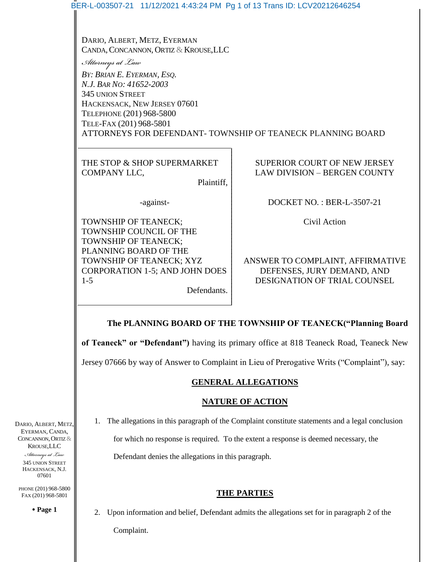|                                                                          | BER-L-003507-21 11/12/2021 4:43:24 PM Pg 1 of 13 Trans ID: LCV20212646254                                                                                                                                                                                 |                                                                                                |  |
|--------------------------------------------------------------------------|-----------------------------------------------------------------------------------------------------------------------------------------------------------------------------------------------------------------------------------------------------------|------------------------------------------------------------------------------------------------|--|
|                                                                          |                                                                                                                                                                                                                                                           |                                                                                                |  |
|                                                                          | DARIO, ALBERT, METZ, EYERMAN<br>CANDA, CONCANNON, ORTIZ & KROUSE, LLC                                                                                                                                                                                     |                                                                                                |  |
|                                                                          | Attorneys at Law<br>BY: BRIAN E. EYERMAN, ESQ.<br>N.J. BAR NO: 41652-2003<br><b>345 UNION STREET</b><br>HACKENSACK, NEW JERSEY 07601<br>TELEPHONE (201) 968-5800<br>TELE-FAX (201) 968-5801<br>ATTORNEYS FOR DEFENDANT-TOWNSHIP OF TEANECK PLANNING BOARD |                                                                                                |  |
|                                                                          |                                                                                                                                                                                                                                                           |                                                                                                |  |
|                                                                          |                                                                                                                                                                                                                                                           |                                                                                                |  |
|                                                                          |                                                                                                                                                                                                                                                           |                                                                                                |  |
|                                                                          | THE STOP & SHOP SUPERMARKET<br>COMPANY LLC,                                                                                                                                                                                                               | SUPERIOR COURT OF NEW JERSEY<br>LAW DIVISION - BERGEN COUNTY                                   |  |
|                                                                          | Plaintiff,                                                                                                                                                                                                                                                |                                                                                                |  |
|                                                                          | -against-                                                                                                                                                                                                                                                 | DOCKET NO.: BER-L-3507-21                                                                      |  |
|                                                                          | TOWNSHIP OF TEANECK;<br>TOWNSHIP COUNCIL OF THE<br>TOWNSHIP OF TEANECK;                                                                                                                                                                                   | Civil Action                                                                                   |  |
|                                                                          | PLANNING BOARD OF THE<br>TOWNSHIP OF TEANECK; XYZ<br><b>CORPORATION 1-5; AND JOHN DOES</b><br>$1 - 5$<br>Defendants.                                                                                                                                      | ANSWER TO COMPLAINT, AFFIRMATIVE<br>DEFENSES, JURY DEMAND, AND<br>DESIGNATION OF TRIAL COUNSEL |  |
|                                                                          | The PLANNING BOARD OF THE TOWNSHIP OF TEANECK("Planning Board                                                                                                                                                                                             |                                                                                                |  |
|                                                                          | of Teaneck" or "Defendant") having its primary office at 818 Teaneck Road, Teaneck New<br>Jersey 07666 by way of Answer to Complaint in Lieu of Prerogative Writs ("Complaint"), say:<br><b>GENERAL ALLEGATIONS</b>                                       |                                                                                                |  |
|                                                                          |                                                                                                                                                                                                                                                           |                                                                                                |  |
|                                                                          |                                                                                                                                                                                                                                                           |                                                                                                |  |
|                                                                          | <b>NATURE OF ACTION</b>                                                                                                                                                                                                                                   |                                                                                                |  |
| DARIO, ALBERT, METZ,                                                     | The allegations in this paragraph of the Complaint constitute statements and a legal conclusion<br>1.                                                                                                                                                     |                                                                                                |  |
| EYERMAN, CANDA,<br>CONCANNON, ORTIZ &<br><b>KROUSE, LLC</b>              | for which no response is required. To the extent a response is deemed necessary, the                                                                                                                                                                      |                                                                                                |  |
| Attorneys at Law<br><b>345 UNION STREET</b><br>HACKENSACK, N.J.<br>07601 | Defendant denies the allegations in this paragraph.                                                                                                                                                                                                       |                                                                                                |  |
| PHONE (201) 968-5800<br>FAX (201) 968-5801                               | <b>THE PARTIES</b>                                                                                                                                                                                                                                        |                                                                                                |  |
| • Page 1                                                                 | Upon information and belief, Defendant admits the allegations set for in paragraph 2 of the<br>2.                                                                                                                                                         |                                                                                                |  |
|                                                                          | Complaint.                                                                                                                                                                                                                                                |                                                                                                |  |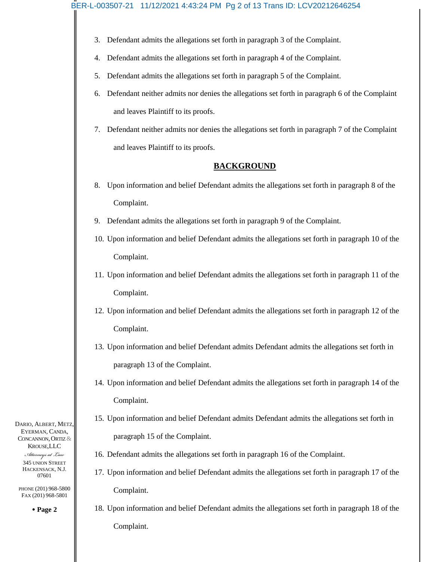## BER-L-003507-21 11/12/2021 4:43:24 PM Pg 2 of 13 Trans ID: LCV20212646254

- 3. Defendant admits the allegations set forth in paragraph 3 of the Complaint.
- 4. Defendant admits the allegations set forth in paragraph 4 of the Complaint.
- 5. Defendant admits the allegations set forth in paragraph 5 of the Complaint.
- 6. Defendant neither admits nor denies the allegations set forth in paragraph 6 of the Complaint and leaves Plaintiff to its proofs.
- 7. Defendant neither admits nor denies the allegations set forth in paragraph 7 of the Complaint and leaves Plaintiff to its proofs.

#### **BACKGROUND**

- 8. Upon information and belief Defendant admits the allegations set forth in paragraph 8 of the Complaint.
- 9. Defendant admits the allegations set forth in paragraph 9 of the Complaint.
- 10. Upon information and belief Defendant admits the allegations set forth in paragraph 10 of the Complaint.
- 11. Upon information and belief Defendant admits the allegations set forth in paragraph 11 of the Complaint.
- 12. Upon information and belief Defendant admits the allegations set forth in paragraph 12 of the Complaint.
- 13. Upon information and belief Defendant admits Defendant admits the allegations set forth in paragraph 13 of the Complaint.
- 14. Upon information and belief Defendant admits the allegations set forth in paragraph 14 of the Complaint.
- 15. Upon information and belief Defendant admits Defendant admits the allegations set forth in paragraph 15 of the Complaint.
- 16. Defendant admits the allegations set forth in paragraph 16 of the Complaint.
- 17. Upon information and belief Defendant admits the allegations set forth in paragraph 17 of the Complaint.
- 18. Upon information and belief Defendant admits the allegations set forth in paragraph 18 of the Complaint.

DARIO, ALBERT, METZ, EYERMAN, CANDA, CONCANNON, ORTIZ & KROUSE,LLC

> *Attorneys at Law* 345 UNION STREET HACKENSACK, N.J. 07601

PHONE (201) 968-5800 FAX (201) 968-5801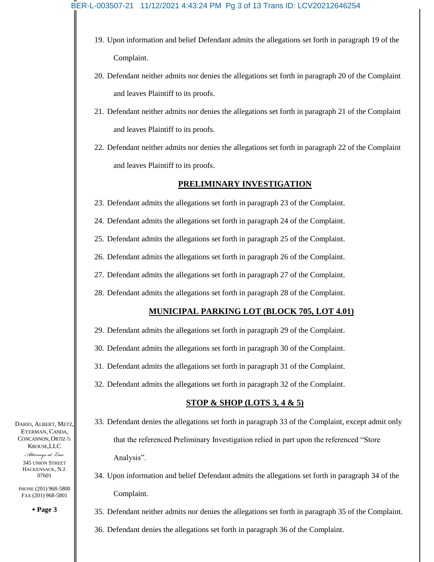#### BER-L-003507-21 11/12/2021 4:43:24 PM Pg 3 of 13 Trans ID: LCV20212646254

- 19. Upon information and belief Defendant admits the allegations set forth in paragraph 19 of the Complaint.
- 20. Defendant neither admits nor denies the allegations set forth in paragraph 20 of the Complaint and leaves Plaintiff to its proofs.
- 21. Defendant neither admits nor denies the allegations set forth in paragraph 21 of the Complaint and leaves Plaintiff to its proofs.
- 22. Defendant neither admits nor denies the allegations set forth in paragraph 22 of the Complaint and leaves Plaintiff to its proofs.

#### **PRELIMINARY INVESTIGATION**

- 23. Defendant admits the allegations set forth in paragraph 23 of the Complaint.
- 24. Defendant admits the allegations set forth in paragraph 24 of the Complaint.
- 25. Defendant admits the allegations set forth in paragraph 25 of the Complaint.
- 26. Defendant admits the allegations set forth in paragraph 26 of the Complaint.
- 27. Defendant admits the allegations set forth in paragraph 27 of the Complaint.
- 28. Defendant admits the allegations set forth in paragraph 28 of the Complaint.

## **MUNICIPAL PARKING LOT (BLOCK 705, LOT 4.01)**

- 29. Defendant admits the allegations set forth in paragraph 29 of the Complaint.
- 30. Defendant admits the allegations set forth in paragraph 30 of the Complaint.
- 31. Defendant admits the allegations set forth in paragraph 31 of the Complaint.
- 32. Defendant admits the allegations set forth in paragraph 32 of the Complaint.

## **STOP & SHOP (LOTS 3, 4 & 5)**

- 33. Defendant denies the allegations set forth in paragraph 33 of the Complaint, except admit only that the referenced Preliminary Investigation relied in part upon the referenced "Store Analysis".
- 34. Upon information and belief Defendant admits the allegations set forth in paragraph 34 of the Complaint.
- 35. Defendant neither admits nor denies the allegations set forth in paragraph 35 of the Complaint.
- 36. Defendant denies the allegations set forth in paragraph 36 of the Complaint.

DARIO, ALBERT, METZ, EYERMAN, CANDA, CONCANNON, ORTIZ & KROUSE,LLC

*Attorneys at Law* 345 UNION STREET HACKENSACK, N.J. 07601

PHONE (201) 968-5800 FAX (201) 968-5801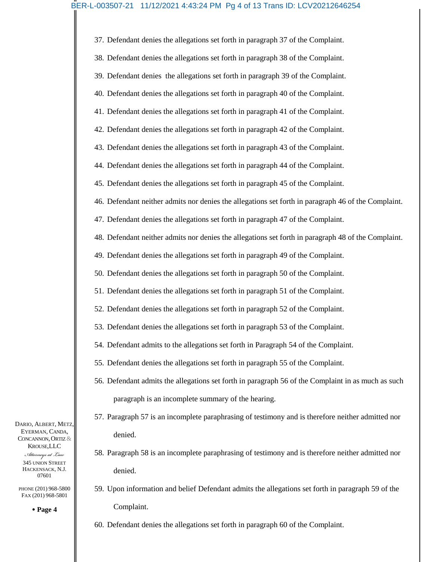# BER-L-003507-21 11/12/2021 4:43:24 PM Pg 4 of 13 Trans ID: LCV20212646254

37. Defendant denies the allegations set forth in paragraph 37 of the Complaint. 38. Defendant denies the allegations set forth in paragraph 38 of the Complaint. 39. Defendant denies the allegations set forth in paragraph 39 of the Complaint. 40. Defendant denies the allegations set forth in paragraph 40 of the Complaint. 41. Defendant denies the allegations set forth in paragraph 41 of the Complaint. 42. Defendant denies the allegations set forth in paragraph 42 of the Complaint. 43. Defendant denies the allegations set forth in paragraph 43 of the Complaint. 44. Defendant denies the allegations set forth in paragraph 44 of the Complaint. 45. Defendant denies the allegations set forth in paragraph 45 of the Complaint. 46. Defendant neither admits nor denies the allegations set forth in paragraph 46 of the Complaint. 47. Defendant denies the allegations set forth in paragraph 47 of the Complaint. 48. Defendant neither admits nor denies the allegations set forth in paragraph 48 of the Complaint. 49. Defendant denies the allegations set forth in paragraph 49 of the Complaint. 50. Defendant denies the allegations set forth in paragraph 50 of the Complaint. 51. Defendant denies the allegations set forth in paragraph 51 of the Complaint. 52. Defendant denies the allegations set forth in paragraph 52 of the Complaint. 53. Defendant denies the allegations set forth in paragraph 53 of the Complaint. 54. Defendant admits to the allegations set forth in Paragraph 54 of the Complaint. 55. Defendant denies the allegations set forth in paragraph 55 of the Complaint. 56. Defendant admits the allegations set forth in paragraph 56 of the Complaint in as much as such

- paragraph is an incomplete summary of the hearing.
- 57. Paragraph 57 is an incomplete paraphrasing of testimony and is therefore neither admitted nor denied.
- 58. Paragraph 58 is an incomplete paraphrasing of testimony and is therefore neither admitted nor denied.
- 59. Upon information and belief Defendant admits the allegations set forth in paragraph 59 of the Complaint.
- 60. Defendant denies the allegations set forth in paragraph 60 of the Complaint.

DARIO, ALBERT, METZ, EYERMAN, CANDA, CONCANNON, ORTIZ & KROUSE,LLC

> *Attorneys at Law* 345 UNION STREET HACKENSACK, N.J. 07601

PHONE (201) 968-5800 FAX (201) 968-5801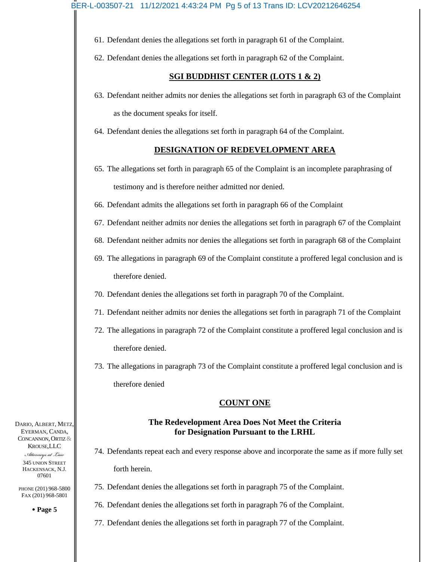- 61. Defendant denies the allegations set forth in paragraph 61 of the Complaint.
- 62. Defendant denies the allegations set forth in paragraph 62 of the Complaint.

## **SGI BUDDHIST CENTER (LOTS 1 & 2)**

- 63. Defendant neither admits nor denies the allegations set forth in paragraph 63 of the Complaint as the document speaks for itself.
- 64. Defendant denies the allegations set forth in paragraph 64 of the Complaint.

## **DESIGNATION OF REDEVELOPMENT AREA**

- 65. The allegations set forth in paragraph 65 of the Complaint is an incomplete paraphrasing of testimony and is therefore neither admitted nor denied.
- 66. Defendant admits the allegations set forth in paragraph 66 of the Complaint
- 67. Defendant neither admits nor denies the allegations set forth in paragraph 67 of the Complaint
- 68. Defendant neither admits nor denies the allegations set forth in paragraph 68 of the Complaint
- 69. The allegations in paragraph 69 of the Complaint constitute a proffered legal conclusion and is therefore denied.
- 70. Defendant denies the allegations set forth in paragraph 70 of the Complaint.
- 71. Defendant neither admits nor denies the allegations set forth in paragraph 71 of the Complaint
- 72. The allegations in paragraph 72 of the Complaint constitute a proffered legal conclusion and is therefore denied.
- 73. The allegations in paragraph 73 of the Complaint constitute a proffered legal conclusion and is therefore denied

## **COUNT ONE**

## **The Redevelopment Area Does Not Meet the Criteria for Designation Pursuant to the LRHL**

- 74. Defendants repeat each and every response above and incorporate the same as if more fully set forth herein.
- 75. Defendant denies the allegations set forth in paragraph 75 of the Complaint.
- 76. Defendant denies the allegations set forth in paragraph 76 of the Complaint.
- 77. Defendant denies the allegations set forth in paragraph 77 of the Complaint.

DARIO, ALBERT, METZ, EYERMAN, CANDA, CONCANNON, ORTIZ & KROUSE,LLC

> *Attorneys at Law* 345 UNION STREET HACKENSACK, N.J. 07601

PHONE (201) 968-5800 FAX (201) 968-5801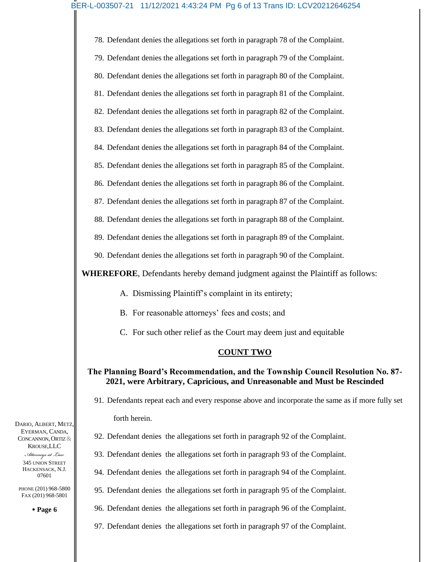# BER-L-003507-21 11/12/2021 4:43:24 PM Pg 6 of 13 Trans ID: LCV20212646254

78. Defendant denies the allegations set forth in paragraph 78 of the Complaint.

79. Defendant denies the allegations set forth in paragraph 79 of the Complaint.

80. Defendant denies the allegations set forth in paragraph 80 of the Complaint.

81. Defendant denies the allegations set forth in paragraph 81 of the Complaint.

82. Defendant denies the allegations set forth in paragraph 82 of the Complaint.

83. Defendant denies the allegations set forth in paragraph 83 of the Complaint.

- 84. Defendant denies the allegations set forth in paragraph 84 of the Complaint.
- 85. Defendant denies the allegations set forth in paragraph 85 of the Complaint.

86. Defendant denies the allegations set forth in paragraph 86 of the Complaint.

87. Defendant denies the allegations set forth in paragraph 87 of the Complaint.

88. Defendant denies the allegations set forth in paragraph 88 of the Complaint.

89. Defendant denies the allegations set forth in paragraph 89 of the Complaint.

90. Defendant denies the allegations set forth in paragraph 90 of the Complaint.

**WHEREFORE**, Defendants hereby demand judgment against the Plaintiff as follows:

- A. Dismissing Plaintiff's complaint in its entirety;
- B. For reasonable attorneys' fees and costs; and

C. For such other relief as the Court may deem just and equitable

# **COUNT TWO**

# **The Planning Board's Recommendation, and the Township Council Resolution No. 87- 2021, were Arbitrary, Capricious, and Unreasonable and Must be Rescinded**

- 91. Defendants repeat each and every response above and incorporate the same as if more fully set forth herein.
- 92. Defendant denies the allegations set forth in paragraph 92 of the Complaint.
- 93. Defendant denies the allegations set forth in paragraph 93 of the Complaint.
- 94. Defendant denies the allegations set forth in paragraph 94 of the Complaint.
- 95. Defendant denies the allegations set forth in paragraph 95 of the Complaint.
- 96. Defendant denies the allegations set forth in paragraph 96 of the Complaint.
	- 97. Defendant denies the allegations set forth in paragraph 97 of the Complaint.

DARIO, ALBERT, METZ, EYERMAN, CANDA, CONCANNON, ORTIZ & KROUSE,LLC

*Attorneys at Law* 345 UNION STREET HACKENSACK, N.J. 07601

PHONE (201) 968-5800 FAX (201) 968-5801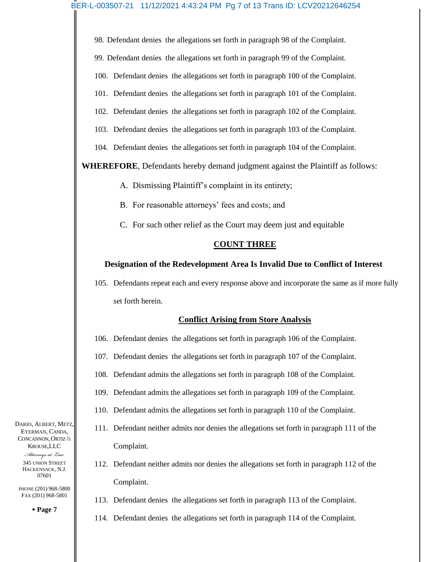98. Defendant denies the allegations set forth in paragraph 98 of the Complaint.

99. Defendant denies the allegations set forth in paragraph 99 of the Complaint.

100. Defendant denies the allegations set forth in paragraph 100 of the Complaint.

101. Defendant denies the allegations set forth in paragraph 101 of the Complaint.

102. Defendant denies the allegations set forth in paragraph 102 of the Complaint.

103. Defendant denies the allegations set forth in paragraph 103 of the Complaint.

104. Defendant denies the allegations set forth in paragraph 104 of the Complaint.

**WHEREFORE**, Defendants hereby demand judgment against the Plaintiff as follows:

A. Dismissing Plaintiff's complaint in its entirety;

B. For reasonable attorneys' fees and costs; and

C. For such other relief as the Court may deem just and equitable

#### **COUNT THREE**

## **Designation of the Redevelopment Area Is Invalid Due to Conflict of Interest**

105. Defendants repeat each and every response above and incorporate the same as if more fully set forth herein.

## **Conflict Arising from Store Analysis**

106. Defendant denies the allegations set forth in paragraph 106 of the Complaint.

107. Defendant denies the allegations set forth in paragraph 107 of the Complaint.

108. Defendant admits the allegations set forth in paragraph 108 of the Complaint.

109. Defendant admits the allegations set forth in paragraph 109 of the Complaint.

110. Defendant admits the allegations set forth in paragraph 110 of the Complaint.

- 111. Defendant neither admits nor denies the allegations set forth in paragraph 111 of the Complaint.
- 112. Defendant neither admits nor denies the allegations set forth in paragraph 112 of the Complaint.
- 113. Defendant denies the allegations set forth in paragraph 113 of the Complaint.
- 114. Defendant denies the allegations set forth in paragraph 114 of the Complaint.

DARIO, ALBERT, METZ, EYERMAN, CANDA, CONCANNON, ORTIZ & KROUSE,LLC

*Attorneys at Law* 345 UNION STREET HACKENSACK, N.J. 07601

PHONE (201) 968-5800 FAX (201) 968-5801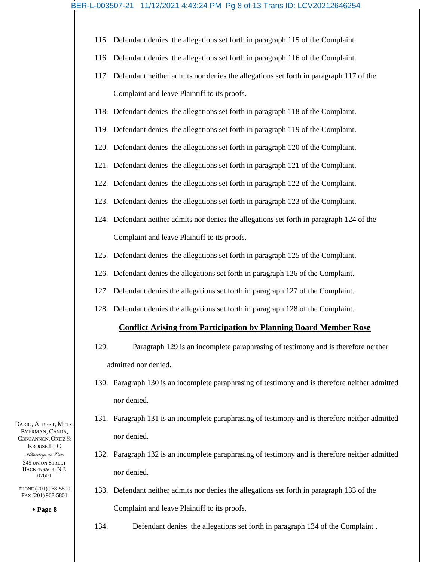- 115. Defendant denies the allegations set forth in paragraph 115 of the Complaint.
- 116. Defendant denies the allegations set forth in paragraph 116 of the Complaint.
- 117. Defendant neither admits nor denies the allegations set forth in paragraph 117 of the Complaint and leave Plaintiff to its proofs.
- 118. Defendant denies the allegations set forth in paragraph 118 of the Complaint.
- 119. Defendant denies the allegations set forth in paragraph 119 of the Complaint.
- 120. Defendant denies the allegations set forth in paragraph 120 of the Complaint.
- 121. Defendant denies the allegations set forth in paragraph 121 of the Complaint.
- 122. Defendant denies the allegations set forth in paragraph 122 of the Complaint.
- 123. Defendant denies the allegations set forth in paragraph 123 of the Complaint.
- 124. Defendant neither admits nor denies the allegations set forth in paragraph 124 of the Complaint and leave Plaintiff to its proofs.
- 125. Defendant denies the allegations set forth in paragraph 125 of the Complaint.
- 126. Defendant denies the allegations set forth in paragraph 126 of the Complaint.
- 127. Defendant denies the allegations set forth in paragraph 127 of the Complaint.
- 128. Defendant denies the allegations set forth in paragraph 128 of the Complaint.

## **Conflict Arising from Participation by Planning Board Member Rose**

- 129. Paragraph 129 is an incomplete paraphrasing of testimony and is therefore neither admitted nor denied.
- 130. Paragraph 130 is an incomplete paraphrasing of testimony and is therefore neither admitted nor denied.
- 131. Paragraph 131 is an incomplete paraphrasing of testimony and is therefore neither admitted nor denied.
- 132. Paragraph 132 is an incomplete paraphrasing of testimony and is therefore neither admitted nor denied.
- 133. Defendant neither admits nor denies the allegations set forth in paragraph 133 of the Complaint and leave Plaintiff to its proofs.
	- 134. Defendant denies the allegations set forth in paragraph 134 of the Complaint .

DARIO, ALBERT, METZ, EYERMAN, CANDA, CONCANNON, ORTIZ & KROUSE,LLC

*Attorneys at Law* 345 UNION STREET HACKENSACK, N.J. 07601

PHONE (201) 968-5800 FAX (201) 968-5801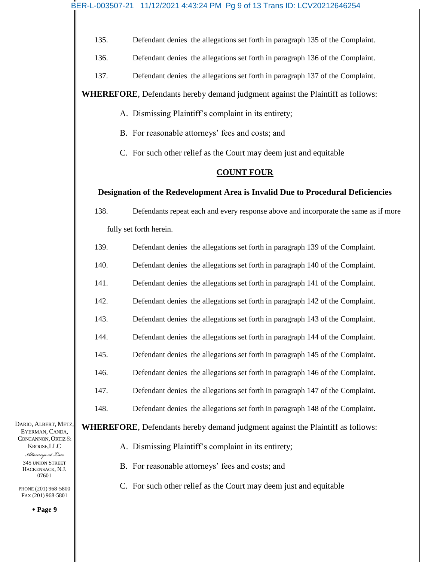135. Defendant denies the allegations set forth in paragraph 135 of the Complaint.

- 136. Defendant denies the allegations set forth in paragraph 136 of the Complaint.
- 137. Defendant denies the allegations set forth in paragraph 137 of the Complaint.

**WHEREFORE**, Defendants hereby demand judgment against the Plaintiff as follows:

- A. Dismissing Plaintiff's complaint in its entirety;
- B. For reasonable attorneys' fees and costs; and
- C. For such other relief as the Court may deem just and equitable

# **COUNT FOUR**

# **Designation of the Redevelopment Area is Invalid Due to Procedural Deficiencies**

138. Defendants repeat each and every response above and incorporate the same as if more fully set forth herein.

- 139. Defendant denies the allegations set forth in paragraph 139 of the Complaint.
- 140. Defendant denies the allegations set forth in paragraph 140 of the Complaint.
- 141. Defendant denies the allegations set forth in paragraph 141 of the Complaint.
- 142. Defendant denies the allegations set forth in paragraph 142 of the Complaint.
- 143. Defendant denies the allegations set forth in paragraph 143 of the Complaint.
- 144. Defendant denies the allegations set forth in paragraph 144 of the Complaint.
- 145. Defendant denies the allegations set forth in paragraph 145 of the Complaint.
- 146. Defendant denies the allegations set forth in paragraph 146 of the Complaint.
- 147. Defendant denies the allegations set forth in paragraph 147 of the Complaint.
- 148. Defendant denies the allegations set forth in paragraph 148 of the Complaint.

**WHEREFORE**, Defendants hereby demand judgment against the Plaintiff as follows:

DARIO, ALBERT, METZ, EYERMAN, CANDA, CONCANNON, ORTIZ & KROUSE,LLC

*Attorneys at Law* 345 UNION STREET HACKENSACK, N.J. 07601

PHONE (201) 968-5800 FAX (201) 968-5801

- A. Dismissing Plaintiff's complaint in its entirety;
- B. For reasonable attorneys' fees and costs; and
- C. For such other relief as the Court may deem just and equitable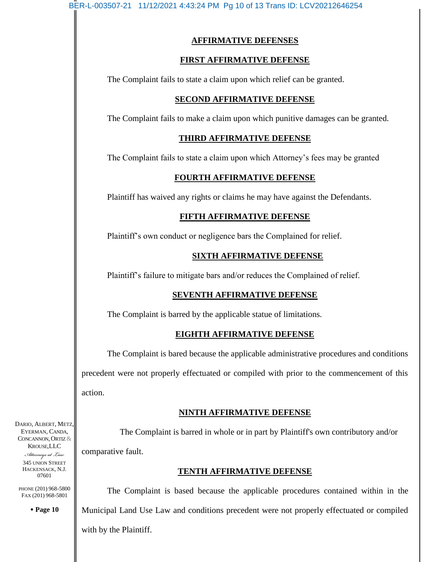# **AFFIRMATIVE DEFENSES**

## **FIRST AFFIRMATIVE DEFENSE**

The Complaint fails to state a claim upon which relief can be granted.

# **SECOND AFFIRMATIVE DEFENSE**

The Complaint fails to make a claim upon which punitive damages can be granted.

# **THIRD AFFIRMATIVE DEFENSE**

The Complaint fails to state a claim upon which Attorney's fees may be granted

# **FOURTH AFFIRMATIVE DEFENSE**

Plaintiff has waived any rights or claims he may have against the Defendants.

# **FIFTH AFFIRMATIVE DEFENSE**

Plaintiff's own conduct or negligence bars the Complained for relief.

# **SIXTH AFFIRMATIVE DEFENSE**

Plaintiff's failure to mitigate bars and/or reduces the Complained of relief.

# **SEVENTH AFFIRMATIVE DEFENSE**

The Complaint is barred by the applicable statue of limitations.

# **EIGHTH AFFIRMATIVE DEFENSE**

The Complaint is bared because the applicable administrative procedures and conditions precedent were not properly effectuated or compiled with prior to the commencement of this action.

# **NINTH AFFIRMATIVE DEFENSE**

 The Complaint is barred in whole or in part by Plaintiff's own contributory and/or comparative fault.

# **TENTH AFFIRMATIVE DEFENSE**

The Complaint is based because the applicable procedures contained within in the Municipal Land Use Law and conditions precedent were not properly effectuated or compiled with by the Plaintiff.

DARIO, ALBERT, METZ, EYERMAN, CANDA, CONCANNON, ORTIZ & KROUSE,LLC

*Attorneys at Law* 345 UNION STREET HACKENSACK, N.J. 07601

PHONE (201) 968-5800 FAX (201) 968-5801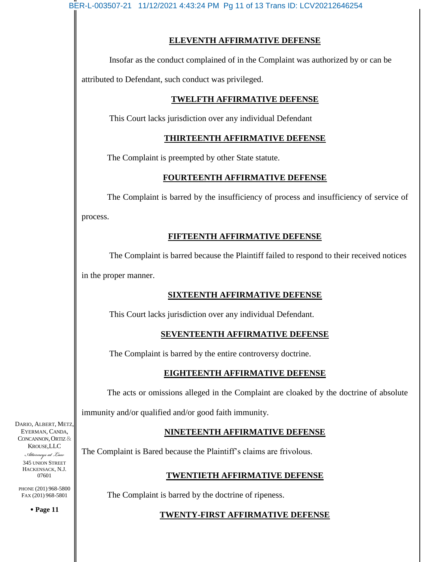BER-L-003507-21 11/12/2021 4:43:24 PM Pg 11 of 13 Trans ID: LCV20212646254

# **ELEVENTH AFFIRMATIVE DEFENSE**

Insofar as the conduct complained of in the Complaint was authorized by or can be

attributed to Defendant, such conduct was privileged.

# **TWELFTH AFFIRMATIVE DEFENSE**

This Court lacks jurisdiction over any individual Defendant

# **THIRTEENTH AFFIRMATIVE DEFENSE**

The Complaint is preempted by other State statute.

# **FOURTEENTH AFFIRMATIVE DEFENSE**

The Complaint is barred by the insufficiency of process and insufficiency of service of process.

# **FIFTEENTH AFFIRMATIVE DEFENSE**

The Complaint is barred because the Plaintiff failed to respond to their received notices in the proper manner.

# **SIXTEENTH AFFIRMATIVE DEFENSE**

This Court lacks jurisdiction over any individual Defendant.

# **SEVENTEENTH AFFIRMATIVE DEFENSE**

The Complaint is barred by the entire controversy doctrine.

# **EIGHTEENTH AFFIRMATIVE DEFENSE**

The acts or omissions alleged in the Complaint are cloaked by the doctrine of absolute

immunity and/or qualified and/or good faith immunity.

# **NINETEENTH AFFIRMATIVE DEFENSE**

The Complaint is Bared because the Plaintiff's claims are frivolous.

# **TWENTIETH AFFIRMATIVE DEFENSE**

The Complaint is barred by the doctrine of ripeness.

# **TWENTY-FIRST AFFIRMATIVE DEFENSE**

DARIO, ALBERT, METZ, EYERMAN, CANDA, CONCANNON, ORTIZ & KROUSE,LLC

*Attorneys at Law* 345 UNION STREET HACKENSACK, N.J. 07601

PHONE (201) 968-5800 FAX (201) 968-5801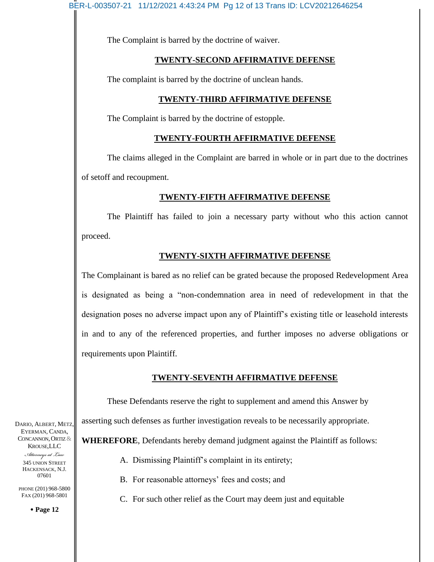The Complaint is barred by the doctrine of waiver.

## **TWENTY-SECOND AFFIRMATIVE DEFENSE**

The complaint is barred by the doctrine of unclean hands.

# **TWENTY-THIRD AFFIRMATIVE DEFENSE**

The Complaint is barred by the doctrine of estopple.

## **TWENTY-FOURTH AFFIRMATIVE DEFENSE**

The claims alleged in the Complaint are barred in whole or in part due to the doctrines of setoff and recoupment.

## **TWENTY-FIFTH AFFIRMATIVE DEFENSE**

The Plaintiff has failed to join a necessary party without who this action cannot proceed.

## **TWENTY-SIXTH AFFIRMATIVE DEFENSE**

The Complainant is bared as no relief can be grated because the proposed Redevelopment Area is designated as being a "non-condemnation area in need of redevelopment in that the designation poses no adverse impact upon any of Plaintiff's existing title or leasehold interests in and to any of the referenced properties, and further imposes no adverse obligations or requirements upon Plaintiff.

## **TWENTY-SEVENTH AFFIRMATIVE DEFENSE**

These Defendants reserve the right to supplement and amend this Answer by asserting such defenses as further investigation reveals to be necessarily appropriate. **WHEREFORE**, Defendants hereby demand judgment against the Plaintiff as follows:

A. Dismissing Plaintiff's complaint in its entirety;

- B. For reasonable attorneys' fees and costs; and
- C. For such other relief as the Court may deem just and equitable

DARIO, ALBERT, METZ, EYERMAN, CANDA, CONCANNON, ORTIZ & KROUSE,LLC

> *Attorneys at Law* 345 UNION STREET HACKENSACK, N.J. 07601

PHONE (201) 968-5800 FAX (201) 968-5801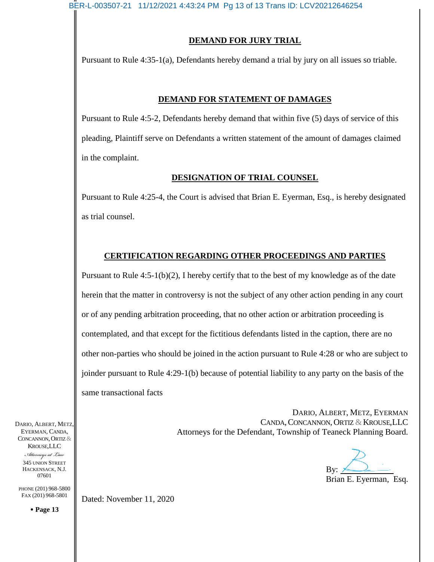# **DEMAND FOR JURY TRIAL**

Pursuant to Rule 4:35-1(a), Defendants hereby demand a trial by jury on all issues so triable.

# **DEMAND FOR STATEMENT OF DAMAGES**

Pursuant to Rule 4:5-2, Defendants hereby demand that within five (5) days of service of this pleading, Plaintiff serve on Defendants a written statement of the amount of damages claimed in the complaint.

# **DESIGNATION OF TRIAL COUNSEL**

Pursuant to Rule 4:25-4, the Court is advised that Brian E. Eyerman, Esq., is hereby designated as trial counsel.

# **CERTIFICATION REGARDING OTHER PROCEEDINGS AND PARTIES**

Pursuant to Rule 4:5-1(b)(2), I hereby certify that to the best of my knowledge as of the date herein that the matter in controversy is not the subject of any other action pending in any court or of any pending arbitration proceeding, that no other action or arbitration proceeding is contemplated, and that except for the fictitious defendants listed in the caption, there are no other non-parties who should be joined in the action pursuant to Rule 4:28 or who are subject to joinder pursuant to Rule 4:29-1(b) because of potential liability to any party on the basis of the same transactional facts

> DARIO, ALBERT, METZ, EYERMAN CANDA, CONCANNON, ORTIZ & KROUSE, LLC Attorneys for the Defendant, Township of Teaneck Planning Board.

By:

Brian E. Eyerman, Esq.

DARIO, ALBERT, METZ, EYERMAN, CANDA, CONCANNON, ORTIZ & KROUSE,LLC *Attorneys at Law* 345 UNION STREET HACKENSACK, N.J. 07601

PHONE (201) 968-5800 FAX (201) 968-5801

**Page 13**

Dated: November 11, 2020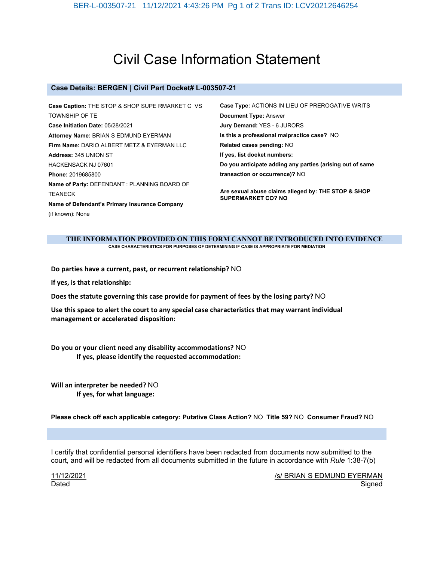# Civil Case Information Statement

#### **Case Details: BERGEN | Civil Part Docket# L-003507-21**

| Case Caption: THE STOP & SHOP SUPE RMARKET C VS | Case Type: ACTIONS IN LIEU OF PREROGATIVE WRITS                                  |
|-------------------------------------------------|----------------------------------------------------------------------------------|
| <b>TOWNSHIP OF TE</b>                           | <b>Document Type: Answer</b>                                                     |
| Case Initiation Date: 05/28/2021                | Jury Demand: YES - 6 JURORS                                                      |
| Attorney Name: BRIAN S EDMUND EYERMAN           | Is this a professional malpractice case? NO                                      |
| Firm Name: DARIO ALBERT METZ & EYERMAN LLC      | Related cases pending: NO                                                        |
| <b>Address: 345 UNION ST</b>                    | If yes, list docket numbers:                                                     |
| <b>HACKENSACK NJ 07601</b>                      | Do you anticipate adding any parties (arising out of same                        |
| Phone: 2019685800                               | transaction or occurrence)? NO                                                   |
| Name of Party: DEFENDANT : PLANNING BOARD OF    |                                                                                  |
| <b>TEANECK</b>                                  | Are sexual abuse claims alleged by: THE STOP & SHOP<br><b>SUPERMARKET CO? NO</b> |
| Name of Defendant's Primary Insurance Company   |                                                                                  |
| (if known): None                                |                                                                                  |

#### **THE INFORMATION PROVIDED ON THIS FORM CANNOT BE INTRODUCED INTO EVIDENCE CASE CHARACTERISTICS FOR PURPOSES OF DETERMINING IF CASE IS APPROPRIATE FOR MEDIATION**

**Do parties have a current, past, or recurrent relationship?** NO

**If yes, is that relationship:**

**Does the statute governing this case provide for payment of fees by the losing party?** NO

**Use this space to alert the court to any special case characteristics that may warrant individual management or accelerated disposition:**

**Do you or your client need any disability accommodations?** NO **If yes, please identify the requested accommodation:**

**Will an interpreter be needed?** NO **If yes, for what language:**

**Please check off each applicable category: Putative Class Action?** NO **Title 59?** NO **Consumer Fraud?** NO

I certify that confidential personal identifiers have been redacted from documents now submitted to the court, and will be redacted from all documents submitted in the future in accordance with *Rule* 1:38-7(b)

11/12/2021 Dated

/s/ BRIAN S EDMUND EYERMAN Signed